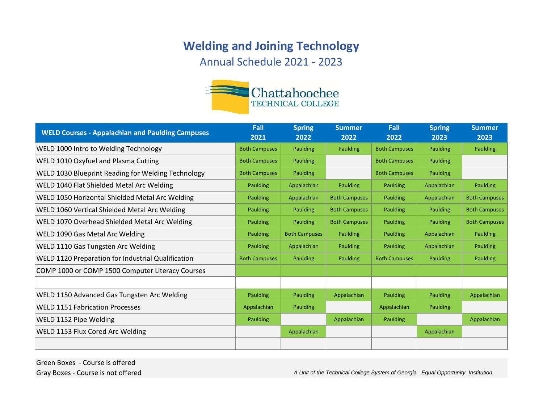## **Welding and Joining Technology**

Annual Schedule 2021 - 2023



| <b>WELD Courses - Appalachian and Paulding Campuses</b>   | Fall<br>2021         | <b>Spring</b><br>2022 | <b>Summer</b><br>2022 | Fall<br>2022         | <b>Spring</b><br>2023 | <b>Summer</b><br>2023 |
|-----------------------------------------------------------|----------------------|-----------------------|-----------------------|----------------------|-----------------------|-----------------------|
| WELD 1000 Intro to Welding Technology                     | <b>Both Campuses</b> | <b>Paulding</b>       | Paulding              | <b>Both Campuses</b> | <b>Paulding</b>       | Paulding              |
| <b>WELD 1010 Oxyfuel and Plasma Cutting</b>               | <b>Both Campuses</b> | <b>Paulding</b>       |                       | <b>Both Campuses</b> | <b>Paulding</b>       |                       |
| WELD 1030 Blueprint Reading for Welding Technology        | <b>Both Campuses</b> | <b>Paulding</b>       |                       | <b>Both Campuses</b> | <b>Paulding</b>       |                       |
| WELD 1040 Flat Shielded Metal Arc Welding                 | Paulding             | Appalachian           | Paulding              | Paulding             | Appalachian           | Paulding              |
| <b>WELD 1050 Horizontal Shielded Metal Arc Welding</b>    | Paulding             | Appalachian           | <b>Both Campuses</b>  | Paulding             | Appalachian           | <b>Both Campuses</b>  |
| <b>WELD 1060 Vertical Shielded Metal Arc Welding</b>      | Paulding             | <b>Paulding</b>       | <b>Both Campuses</b>  | Paulding             | <b>Paulding</b>       | <b>Both Campuses</b>  |
| WELD 1070 Overhead Shielded Metal Arc Welding             | Paulding             | <b>Paulding</b>       | <b>Both Campuses</b>  | Paulding             | <b>Paulding</b>       | <b>Both Campuses</b>  |
| WELD 1090 Gas Metal Arc Welding                           | Paulding             | <b>Both Campuses</b>  | Paulding              | Paulding             | Appalachian           | Paulding              |
| <b>WELD 1110 Gas Tungsten Arc Welding</b>                 | Paulding             | Appalachian           | Paulding              | Paulding             | Appalachian           | Paulding              |
| <b>WELD 1120 Preparation for Industrial Qualification</b> | <b>Both Campuses</b> | <b>Paulding</b>       | <b>Paulding</b>       | <b>Both Campuses</b> | <b>Paulding</b>       | Paulding              |
| COMP 1000 or COMP 1500 Computer Literacy Courses          |                      |                       |                       |                      |                       |                       |
|                                                           |                      |                       |                       |                      |                       |                       |
| WELD 1150 Advanced Gas Tungsten Arc Welding               | Paulding             | <b>Paulding</b>       | Appalachian           | Paulding             | Paulding              | Appalachian           |
| <b>WELD 1151 Fabrication Processes</b>                    | Appalachian          | <b>Paulding</b>       |                       | Appalachian          | <b>Paulding</b>       |                       |
| WELD 1152 Pipe Welding                                    | Paulding             |                       | Appalachian           | Paulding             |                       | Appalachian           |
| <b>WELD 1153 Flux Cored Arc Welding</b>                   |                      | Appalachian           |                       |                      | Appalachian           |                       |
|                                                           |                      |                       |                       |                      |                       |                       |

Green Boxes - Course is offered

Gray Boxes - Course is not offered **A Unit of the Technical College System of Georgia.** Equal Opportunity Institution.